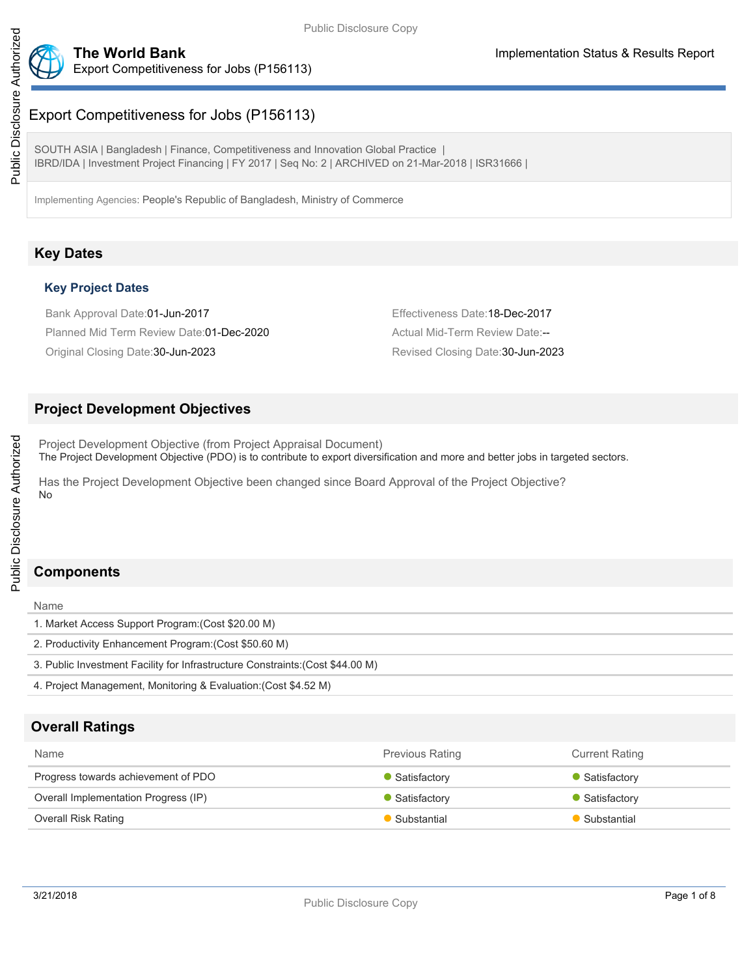# Export Competitiveness for Jobs (P156113)

Export Competitiveness for Jobs (P156113)

SOUTH ASIA | Bangladesh | Finance, Competitiveness and Innovation Global Practice | IBRD/IDA | Investment Project Financing | FY 2017 | Seq No: 2 | ARCHIVED on 21-Mar-2018 | ISR31666 |

Implementing Agencies: People's Republic of Bangladesh, Ministry of Commerce

# **Key Dates**

#### **Key Project Dates**

Bank Approval Date:01-Jun-2017 Effectiveness Date:18-Dec-2017 Planned Mid Term Review Date:01-Dec-2020 Actual Mid-Term Review Date:--Original Closing Date:30-Jun-2023 Revised Closing Date:30-Jun-2023

### **Project Development Objectives**

Project Development Objective (from Project Appraisal Document) The Project Development Objective (PDO) is to contribute to export diversification and more and better jobs in targeted sectors.

Has the Project Development Objective been changed since Board Approval of the Project Objective? No

# **Components**

Name

Public Disclosure Authorized

Public Disclosure Authorized

1. Market Access Support Program:(Cost \$20.00 M)

2. Productivity Enhancement Program:(Cost \$50.60 M)

3. Public Investment Facility for Infrastructure Constraints:(Cost \$44.00 M)

4. Project Management, Monitoring & Evaluation:(Cost \$4.52 M)

# **Overall Ratings**

| <b>Previous Rating</b> | <b>Current Rating</b> |
|------------------------|-----------------------|
| Satisfactory           | Satisfactory          |
| Satisfactory           | Satisfactory          |
| Substantial            | Substantial           |
|                        |                       |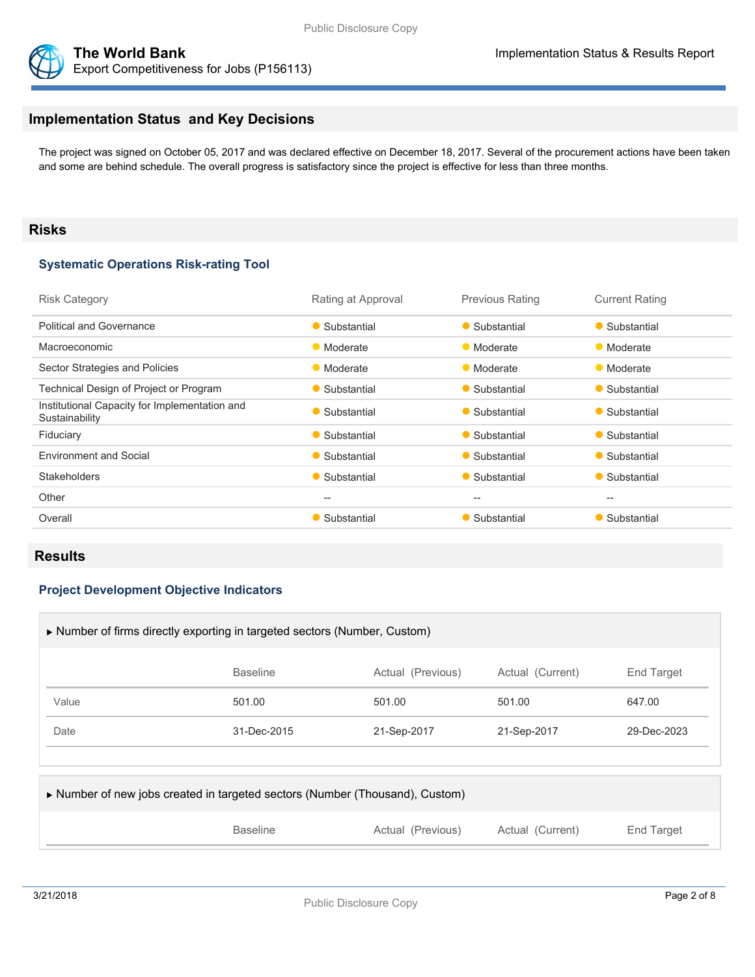



## **Implementation Status and Key Decisions**

The project was signed on October 05, 2017 and was declared effective on December 18, 2017. Several of the procurement actions have been taken and some are behind schedule. The overall progress is satisfactory since the project is effective for less than three months.

#### **Risks**

#### **Systematic Operations Risk-rating Tool**

| <b>Risk Category</b>                                            | Rating at Approval | <b>Previous Rating</b> | <b>Current Rating</b> |
|-----------------------------------------------------------------|--------------------|------------------------|-----------------------|
| <b>Political and Governance</b>                                 | • Substantial      | • Substantial          | • Substantial         |
| Macroeconomic                                                   | • Moderate         | • Moderate             | • Moderate            |
| Sector Strategies and Policies                                  | • Moderate         | • Moderate             | • Moderate            |
| Technical Design of Project or Program                          | • Substantial      | • Substantial          | • Substantial         |
| Institutional Capacity for Implementation and<br>Sustainability | • Substantial      | • Substantial          | • Substantial         |
| Fiduciary                                                       | • Substantial      | • Substantial          | • Substantial         |
| <b>Environment and Social</b>                                   | • Substantial      | • Substantial          | • Substantial         |
| <b>Stakeholders</b>                                             | • Substantial      | • Substantial          | • Substantial         |
| Other                                                           | $-$                | $-$                    | $- -$                 |
| Overall                                                         | • Substantial      | • Substantial          | • Substantial         |

### **Results**

#### **Project Development Objective Indicators**

| Number of firms directly exporting in targeted sectors (Number, Custom) |                 |                   |                  |                   |  |
|-------------------------------------------------------------------------|-----------------|-------------------|------------------|-------------------|--|
|                                                                         | <b>Baseline</b> | Actual (Previous) | Actual (Current) | <b>End Target</b> |  |
| Value                                                                   | 501.00          | 501.00            | 501.00           | 647.00            |  |
| Date                                                                    | 31-Dec-2015     | 21-Sep-2017       | 21-Sep-2017      | 29-Dec-2023       |  |

| Number of new jobs created in targeted sectors (Number (Thousand), Custom) |                 |                   |                  |            |  |
|----------------------------------------------------------------------------|-----------------|-------------------|------------------|------------|--|
|                                                                            | <b>Baseline</b> | Actual (Previous) | Actual (Current) | End Target |  |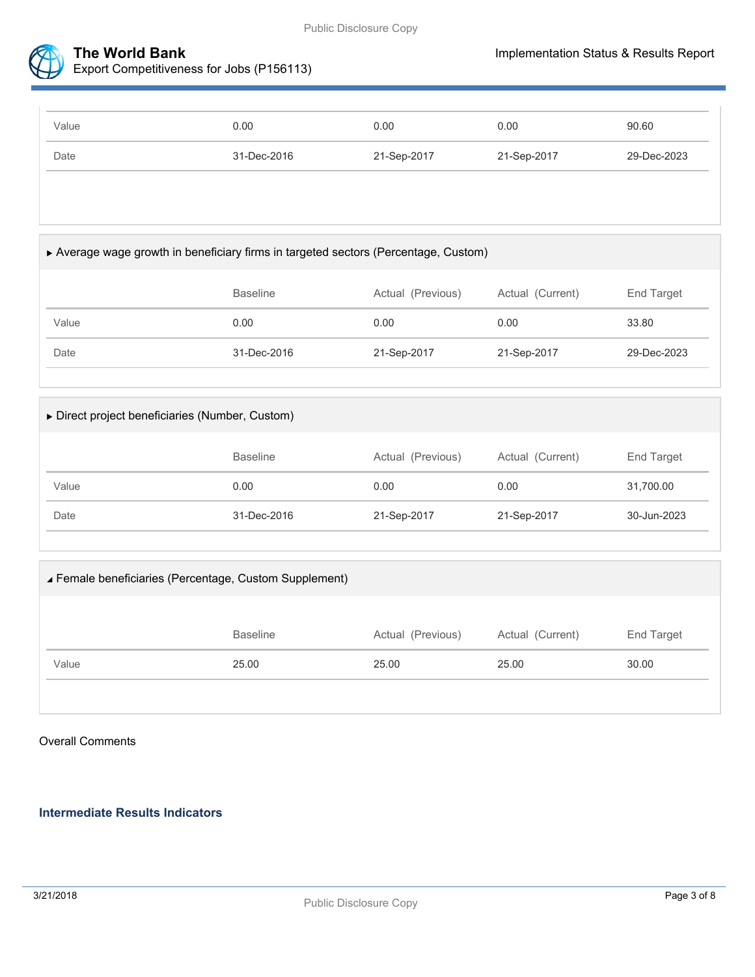

Export Competitiveness for Jobs (P156113)

| Value | 0.00        | 0.00        | 0.00        | 90.60       |
|-------|-------------|-------------|-------------|-------------|
| Date  | 31-Dec-2016 | 21-Sep-2017 | 21-Sep-2017 | 29-Dec-2023 |

Average wage growth in beneficiary firms in targeted sectors (Percentage, Custom)

|       | <b>Baseline</b> | Actual (Previous) | Actual (Current) | End Target  |
|-------|-----------------|-------------------|------------------|-------------|
| Value | 0.00            | 0.00              | 0.00             | 33.80       |
| Date  | 31-Dec-2016     | 21-Sep-2017       | 21-Sep-2017      | 29-Dec-2023 |

| Direct project beneficiaries (Number, Custom) |                 |                   |                  |             |  |  |
|-----------------------------------------------|-----------------|-------------------|------------------|-------------|--|--|
|                                               | <b>Baseline</b> | Actual (Previous) | Actual (Current) | End Target  |  |  |
| Value                                         | 0.00            | 0.00              | 0.00             | 31,700.00   |  |  |
| Date                                          | 31-Dec-2016     | 21-Sep-2017       | 21-Sep-2017      | 30-Jun-2023 |  |  |
|                                               |                 |                   |                  |             |  |  |

|       | <b>Baseline</b> | Actual (Previous) | Actual (Current) | End Target |
|-------|-----------------|-------------------|------------------|------------|
| Value | 25.00           | 25.00             | 25.00            | 30.00      |
|       |                 |                   |                  |            |

Overall Comments

#### **Intermediate Results Indicators**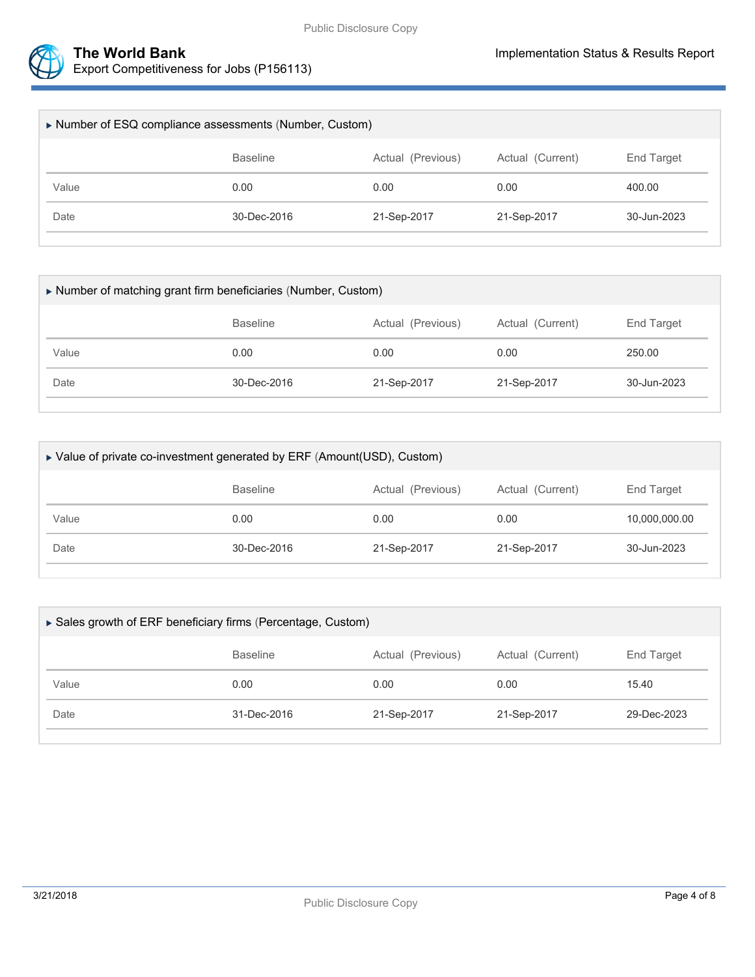



| Number of ESQ compliance assessments (Number, Custom) |                 |                   |                  |             |  |
|-------------------------------------------------------|-----------------|-------------------|------------------|-------------|--|
|                                                       | <b>Baseline</b> | Actual (Previous) | Actual (Current) | End Target  |  |
| Value                                                 | 0.00            | 0.00              | 0.00             | 400.00      |  |
| Date                                                  | 30-Dec-2016     | 21-Sep-2017       | 21-Sep-2017      | 30-Jun-2023 |  |
|                                                       |                 |                   |                  |             |  |

| Number of matching grant firm beneficiaries (Number, Custom) |                 |                   |                  |             |  |
|--------------------------------------------------------------|-----------------|-------------------|------------------|-------------|--|
|                                                              | <b>Baseline</b> | Actual (Previous) | Actual (Current) | End Target  |  |
| Value                                                        | 0.00            | 0.00              | 0.00             | 250.00      |  |
| Date                                                         | 30-Dec-2016     | 21-Sep-2017       | 21-Sep-2017      | 30-Jun-2023 |  |

| ▶ Value of private co-investment generated by ERF (Amount(USD), Custom) |                 |                   |                  |               |  |
|-------------------------------------------------------------------------|-----------------|-------------------|------------------|---------------|--|
|                                                                         | <b>Baseline</b> | Actual (Previous) | Actual (Current) | End Target    |  |
| Value                                                                   | 0.00            | 0.00              | 0.00             | 10,000,000.00 |  |
| Date                                                                    | 30-Dec-2016     | 21-Sep-2017       | 21-Sep-2017      | 30-Jun-2023   |  |

| ▶ Sales growth of ERF beneficiary firms (Percentage, Custom) |                 |                   |                  |                   |  |  |
|--------------------------------------------------------------|-----------------|-------------------|------------------|-------------------|--|--|
|                                                              | <b>Baseline</b> | Actual (Previous) | Actual (Current) | <b>End Target</b> |  |  |
| Value                                                        | 0.00            | 0.00              | 0.00             | 15.40             |  |  |
| Date                                                         | 31-Dec-2016     | 21-Sep-2017       | 21-Sep-2017      | 29-Dec-2023       |  |  |
|                                                              |                 |                   |                  |                   |  |  |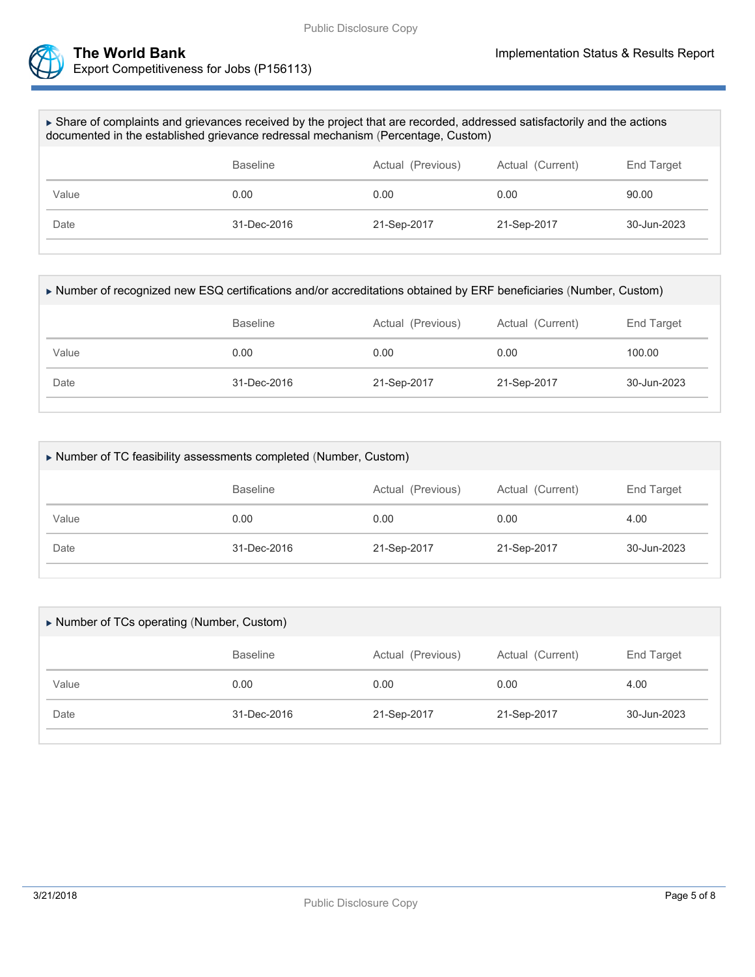



| ► Share of complaints and grievances received by the project that are recorded, addressed satisfactorily and the actions<br>documented in the established grievance redressal mechanism (Percentage, Custom) |                 |                   |                  |                       |  |  |
|--------------------------------------------------------------------------------------------------------------------------------------------------------------------------------------------------------------|-----------------|-------------------|------------------|-----------------------|--|--|
|                                                                                                                                                                                                              | <b>Baseline</b> | Actual (Previous) | Actual (Current) | End Target            |  |  |
| Value                                                                                                                                                                                                        | 0.00            | 0.00              | 0.00             | 90.00                 |  |  |
| Date                                                                                                                                                                                                         | 31-Dec-2016     | 21-Sep-2017       | 21-Sep-2017      | $30 - \frac{1}{2023}$ |  |  |

| Number of recognized new ESQ certifications and/or accreditations obtained by ERF beneficiaries (Number, Custom) |                   |                   |                  |                       |  |  |
|------------------------------------------------------------------------------------------------------------------|-------------------|-------------------|------------------|-----------------------|--|--|
|                                                                                                                  | <b>Baseline</b>   | Actual (Previous) | Actual (Current) | End Target            |  |  |
| Value                                                                                                            | 0.00              | 0.00              | 0.00             | 100.00                |  |  |
| Date                                                                                                             | $31 - Dec - 2016$ |                   | 21-Sep-2017      | $30 - \frac{1}{2023}$ |  |  |
|                                                                                                                  |                   |                   |                  |                       |  |  |

| Number of TC feasibility assessments completed (Number, Custom) |                 |                   |                  |             |  |  |
|-----------------------------------------------------------------|-----------------|-------------------|------------------|-------------|--|--|
|                                                                 | <b>Baseline</b> | Actual (Previous) | Actual (Current) | End Target  |  |  |
| Value                                                           | 0.00            | 0.00              | 0.00             | 4.00        |  |  |
| Date                                                            | 31-Dec-2016     | 21-Sep-2017       | 21-Sep-2017      | 30-Jun-2023 |  |  |
|                                                                 |                 |                   |                  |             |  |  |

| Number of TCs operating (Number, Custom) |                 |                   |                  |                   |  |  |
|------------------------------------------|-----------------|-------------------|------------------|-------------------|--|--|
|                                          | <b>Baseline</b> | Actual (Previous) | Actual (Current) | <b>End Target</b> |  |  |
| Value                                    | 0.00            | 0.00              | 0.00             | 4.00              |  |  |
| Date                                     | 31-Dec-2016     | 21-Sep-2017       | 21-Sep-2017      | 30-Jun-2023       |  |  |
|                                          |                 |                   |                  |                   |  |  |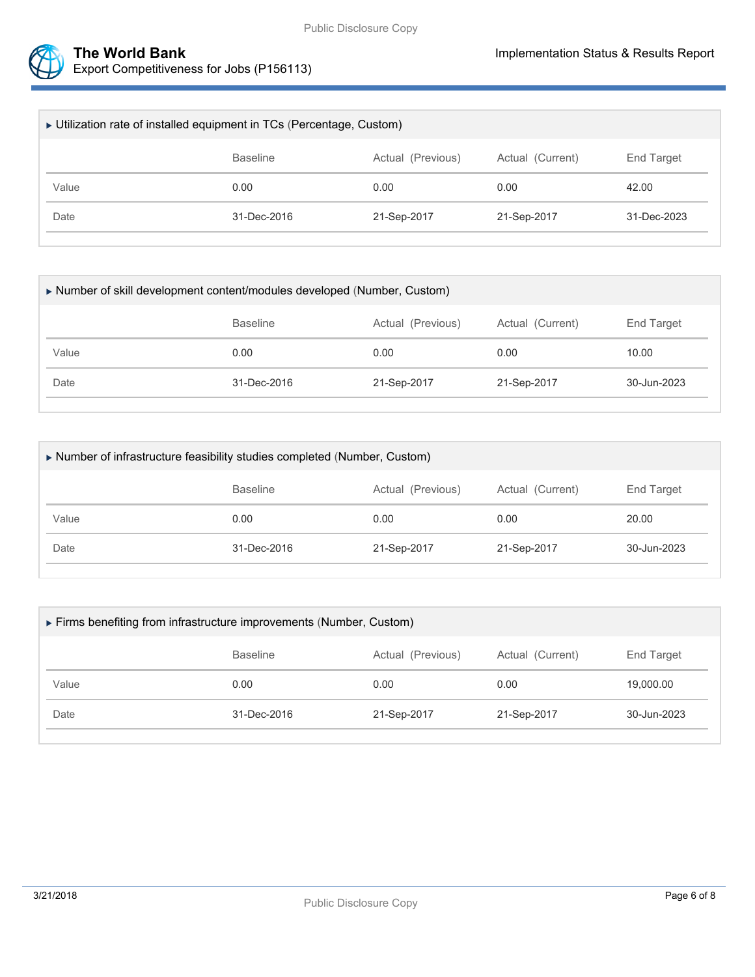



Export Competitiveness for Jobs (P156113)

| ► Utilization rate of installed equipment in TCs (Percentage, Custom) |                                                          |             |             |             |  |  |
|-----------------------------------------------------------------------|----------------------------------------------------------|-------------|-------------|-------------|--|--|
|                                                                       | <b>Baseline</b><br>Actual (Previous)<br>Actual (Current) |             |             |             |  |  |
| Value                                                                 | 0.00                                                     | 0.00        | 0.00        | 42.00       |  |  |
| Date                                                                  | 31-Dec-2016                                              | 21-Sep-2017 | 21-Sep-2017 | 31-Dec-2023 |  |  |
|                                                                       |                                                          |             |             |             |  |  |

| Number of skill development content/modules developed (Number, Custom) |                 |                   |                  |             |  |  |
|------------------------------------------------------------------------|-----------------|-------------------|------------------|-------------|--|--|
|                                                                        | <b>Baseline</b> | Actual (Previous) | Actual (Current) | End Target  |  |  |
| Value                                                                  | 0.00            | 0.00              | 0.00             | 10.00       |  |  |
| Date                                                                   | 31-Dec-2016     | 21-Sep-2017       | 21-Sep-2017      | 30-Jun-2023 |  |  |
|                                                                        |                 |                   |                  |             |  |  |

| Number of infrastructure feasibility studies completed (Number, Custom) |                 |                   |                  |                   |  |  |
|-------------------------------------------------------------------------|-----------------|-------------------|------------------|-------------------|--|--|
|                                                                         | <b>Baseline</b> | Actual (Previous) | Actual (Current) | <b>End Target</b> |  |  |
| Value                                                                   | 0.00            | 0.00              | 0.00             | 20.00             |  |  |
| Date                                                                    | 31-Dec-2016     | 21-Sep-2017       | 21-Sep-2017      | 30-Jun-2023       |  |  |
|                                                                         |                 |                   |                  |                   |  |  |

| Firms benefiting from infrastructure improvements (Number, Custom) |                 |                   |                  |                   |  |  |
|--------------------------------------------------------------------|-----------------|-------------------|------------------|-------------------|--|--|
|                                                                    | <b>Baseline</b> | Actual (Previous) | Actual (Current) | <b>End Target</b> |  |  |
| Value                                                              | 0.00            | 0.00              | 0.00             | 19,000.00         |  |  |
| Date                                                               | 31-Dec-2016     | 21-Sep-2017       | 21-Sep-2017      | 30-Jun-2023       |  |  |
|                                                                    |                 |                   |                  |                   |  |  |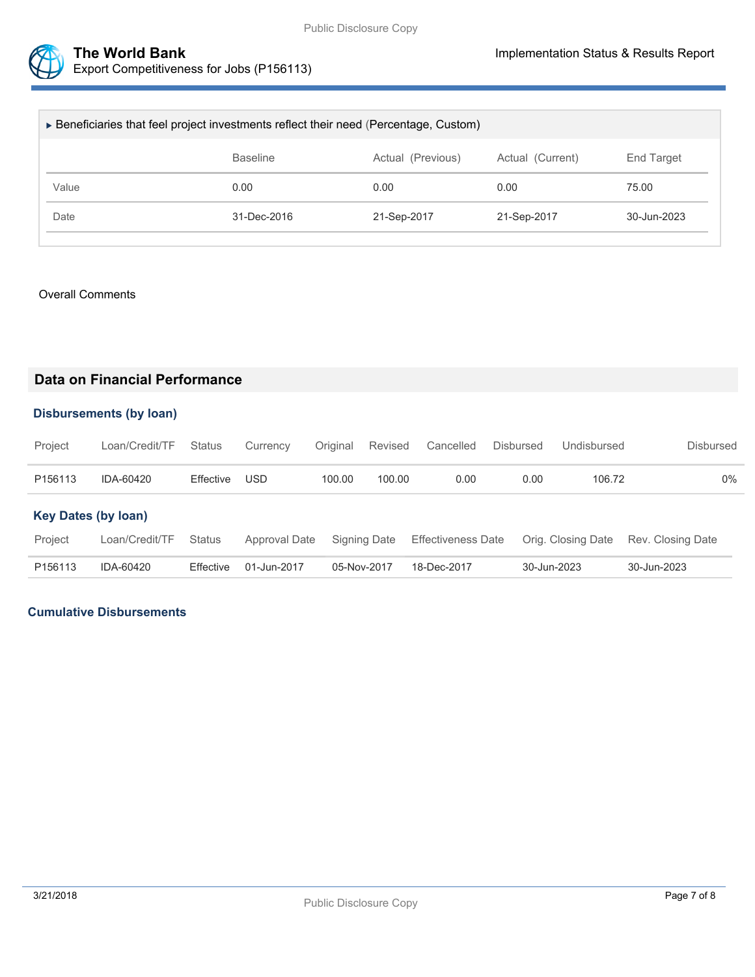

| ► Beneficiaries that feel project investments reflect their need (Percentage, Custom) |                                                                        |             |             |             |  |  |
|---------------------------------------------------------------------------------------|------------------------------------------------------------------------|-------------|-------------|-------------|--|--|
|                                                                                       | <b>Baseline</b><br>End Target<br>Actual (Previous)<br>Actual (Current) |             |             |             |  |  |
| Value                                                                                 | 0.00                                                                   | 0.00        | 0.00        | 75.00       |  |  |
| Date                                                                                  | 31-Dec-2016                                                            | 21-Sep-2017 | 21-Sep-2017 | 30-Jun-2023 |  |  |
|                                                                                       |                                                                        |             |             |             |  |  |

#### Overall Comments

### **Data on Financial Performance**

## **Disbursements (by loan)**

| Project | Loan/Credit/TF Status Currency Original Revised Cancelled Disbursed Undisbursed |               |        |        |      |      |        | Disbursed |
|---------|---------------------------------------------------------------------------------|---------------|--------|--------|------|------|--------|-----------|
| P156113 | IDA-60420                                                                       | Effective USD | 100.00 | 100.00 | 0.00 | 0.00 | 106.72 | 0%        |

#### **Key Dates (by loan)**

| Project             | Loan/Credit/TF Status |                       |             | Approval Date Signing Date Effectiveness Date Orig. Closing Date Rev. Closing Date |             |             |
|---------------------|-----------------------|-----------------------|-------------|------------------------------------------------------------------------------------|-------------|-------------|
| P <sub>156113</sub> | IDA-60420             | Effective 01-Jun-2017 | 05-Nov-2017 | 18-Dec-2017                                                                        | 30-Jun-2023 | 30-Jun-2023 |

### **Cumulative Disbursements**